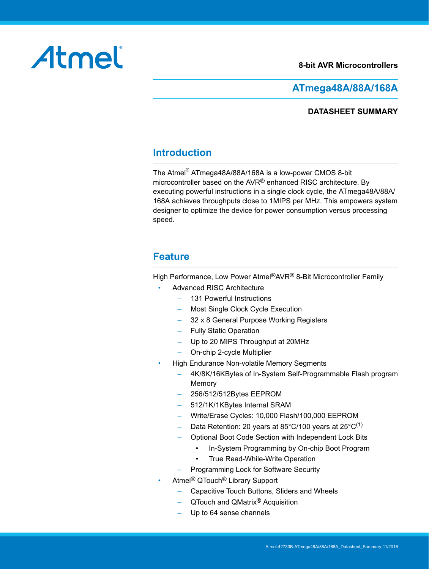#### **8-bit AVR Microcontrollers**

# <span id="page-0-0"></span>Atmel

### **ATmega48A/88A/168A**

#### **DATASHEET SUMMARY**

## **Introduction**

The Atmel® ATmega48A/88A/168A is a low-power CMOS 8-bit microcontroller based on the AVR® enhanced RISC architecture. By executing powerful instructions in a single clock cycle, the ATmega48A/88A/ 168A achieves throughputs close to 1MIPS per MHz. This empowers system designer to optimize the device for power consumption versus processing speed.

#### **Feature**

High Performance, Low Power Atmel®AVR® 8-Bit Microcontroller Family

- Advanced RISC Architecture
	- 131 Powerful Instructions
	- Most Single Clock Cycle Execution
	- 32 x 8 General Purpose Working Registers
	- Fully Static Operation
	- Up to 20 MIPS Throughput at 20MHz
	- On-chip 2-cycle Multiplier
- High Endurance Non-volatile Memory Segments
	- 4K/8K/16KBytes of In-System Self-Programmable Flash program Memory
	- 256/512/512Bytes EEPROM
	- 512/1K/1KBytes Internal SRAM
	- Write/Erase Cycles: 10,000 Flash/100,000 EEPROM
	- Data Retention: 20 years at 85°C/100 years at 25°C<sup>(1)</sup>
	- Optional Boot Code Section with Independent Lock Bits
		- In-System Programming by On-chip Boot Program
		- True Read-While-Write Operation
	- Programming Lock for Software Security
- Atmel® QTouch® Library Support
	- Capacitive Touch Buttons, Sliders and Wheels
	- QTouch and QMatrix® Acquisition
	- Up to 64 sense channels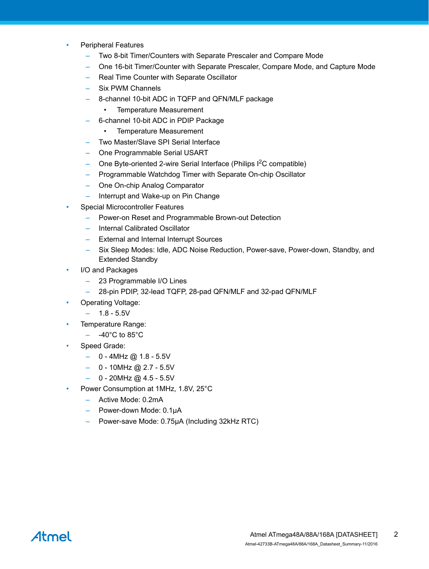- Peripheral Features
	- Two 8-bit Timer/Counters with Separate Prescaler and Compare Mode
	- One 16-bit Timer/Counter with Separate Prescaler, Compare Mode, and Capture Mode
	- Real Time Counter with Separate Oscillator
	- Six PWM Channels
	- 8-channel 10-bit ADC in TQFP and QFN/MLF package
		- Temperature Measurement
	- 6-channel 10-bit ADC in PDIP Package
		- Temperature Measurement
	- Two Master/Slave SPI Serial Interface
	- One Programmable Serial USART
	- One Byte-oriented 2-wire Serial Interface (Philips  $1^2C$  compatible)
	- Programmable Watchdog Timer with Separate On-chip Oscillator
	- One On-chip Analog Comparator
	- Interrupt and Wake-up on Pin Change
- Special Microcontroller Features
	- Power-on Reset and Programmable Brown-out Detection
	- Internal Calibrated Oscillator
	- External and Internal Interrupt Sources
	- Six Sleep Modes: Idle, ADC Noise Reduction, Power-save, Power-down, Standby, and Extended Standby
- I/O and Packages
	- 23 Programmable I/O Lines
	- 28-pin PDIP, 32-lead TQFP, 28-pad QFN/MLF and 32-pad QFN/MLF
- Operating Voltage:
	- 1.8 5.5V
- Temperature Range:
	- $-$  -40 $^{\circ}$ C to 85 $^{\circ}$ C
- Speed Grade:
	- $-$  0 4MHz @ 1.8 5.5V
	- $-$  0 10MHz @ 2.7 5.5V
	- $-$  0 20MHz @ 4.5 5.5V
- Power Consumption at 1MHz, 1.8V, 25°C
	- Active Mode: 0.2mA
	- Power-down Mode: 0.1μA
	- Power-save Mode: 0.75μA (Including 32kHz RTC)

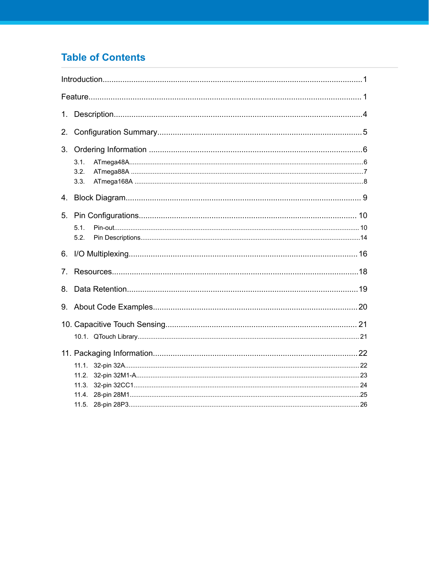## **Table of Contents**

| 1 <sub>1</sub>                 |                         |
|--------------------------------|-------------------------|
| 2.                             |                         |
| 3.                             | 3.1.<br>3.2.<br>3.3.    |
| 4.                             |                         |
| 5.                             | 5.1.<br>5.2.            |
|                                |                         |
| $7_{\scriptscriptstyle{\sim}}$ |                         |
| 8.                             |                         |
|                                |                         |
|                                |                         |
|                                |                         |
|                                | 11.1.<br>11.2.<br>11.3. |
|                                |                         |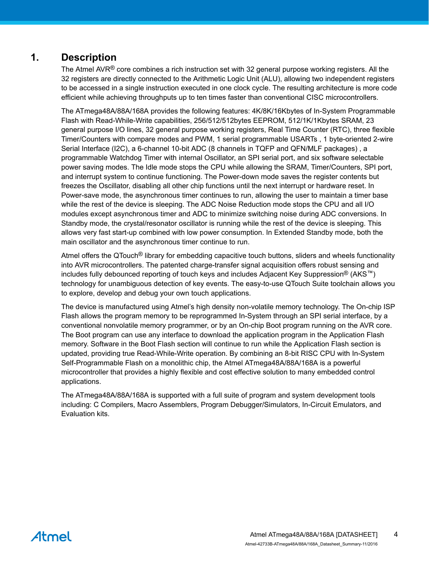## <span id="page-3-0"></span>**1. Description**

The Atmel AVR<sup>®</sup> core combines a rich instruction set with 32 general purpose working registers. All the 32 registers are directly connected to the Arithmetic Logic Unit (ALU), allowing two independent registers to be accessed in a single instruction executed in one clock cycle. The resulting architecture is more code efficient while achieving throughputs up to ten times faster than conventional CISC microcontrollers.

The ATmega48A/88A/168A provides the following features: 4K/8K/16Kbytes of In-System Programmable Flash with Read-While-Write capabilities, 256/512/512bytes EEPROM, 512/1K/1Kbytes SRAM, 23 general purpose I/O lines, 32 general purpose working registers, Real Time Counter (RTC), three flexible Timer/Counters with compare modes and PWM, 1 serial programmable USARTs , 1 byte-oriented 2-wire Serial Interface (I2C), a 6-channel 10-bit ADC (8 channels in TQFP and QFN/MLF packages) , a programmable Watchdog Timer with internal Oscillator, an SPI serial port, and six software selectable power saving modes. The Idle mode stops the CPU while allowing the SRAM, Timer/Counters, SPI port, and interrupt system to continue functioning. The Power-down mode saves the register contents but freezes the Oscillator, disabling all other chip functions until the next interrupt or hardware reset. In Power-save mode, the asynchronous timer continues to run, allowing the user to maintain a timer base while the rest of the device is sleeping. The ADC Noise Reduction mode stops the CPU and all I/O modules except asynchronous timer and ADC to minimize switching noise during ADC conversions. In Standby mode, the crystal/resonator oscillator is running while the rest of the device is sleeping. This allows very fast start-up combined with low power consumption. In Extended Standby mode, both the main oscillator and the asynchronous timer continue to run.

Atmel offers the QTouch® library for embedding capacitive touch buttons, sliders and wheels functionality into AVR microcontrollers. The patented charge-transfer signal acquisition offers robust sensing and includes fully debounced reporting of touch keys and includes Adjacent Key Suppression® (AKS<sup>™</sup>) technology for unambiguous detection of key events. The easy-to-use QTouch Suite toolchain allows you to explore, develop and debug your own touch applications.

The device is manufactured using Atmel's high density non-volatile memory technology. The On-chip ISP Flash allows the program memory to be reprogrammed In-System through an SPI serial interface, by a conventional nonvolatile memory programmer, or by an On-chip Boot program running on the AVR core. The Boot program can use any interface to download the application program in the Application Flash memory. Software in the Boot Flash section will continue to run while the Application Flash section is updated, providing true Read-While-Write operation. By combining an 8-bit RISC CPU with In-System Self-Programmable Flash on a monolithic chip, the Atmel ATmega48A/88A/168A is a powerful microcontroller that provides a highly flexible and cost effective solution to many embedded control applications.

The ATmega48A/88A/168A is supported with a full suite of program and system development tools including: C Compilers, Macro Assemblers, Program Debugger/Simulators, In-Circuit Emulators, and Evaluation kits.

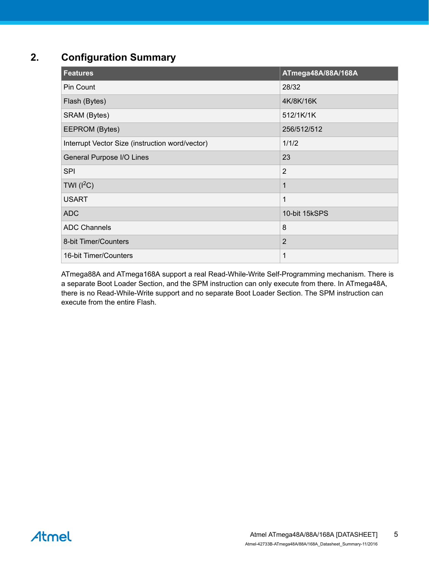## <span id="page-4-0"></span>**2. Configuration Summary**

| <b>Features</b>                                 | ATmega48A/88A/168A |
|-------------------------------------------------|--------------------|
| Pin Count                                       | 28/32              |
| Flash (Bytes)                                   | 4K/8K/16K          |
| SRAM (Bytes)                                    | 512/1K/1K          |
| EEPROM (Bytes)                                  | 256/512/512        |
| Interrupt Vector Size (instruction word/vector) | 1/1/2              |
| General Purpose I/O Lines                       | 23                 |
| <b>SPI</b>                                      | $\overline{2}$     |
| TWI $(l^2C)$                                    | 1                  |
| <b>USART</b>                                    | $\mathbf 1$        |
| <b>ADC</b>                                      | 10-bit 15kSPS      |
| <b>ADC Channels</b>                             | 8                  |
| 8-bit Timer/Counters                            | $\overline{2}$     |
| 16-bit Timer/Counters                           | 1                  |

ATmega88A and ATmega168A support a real Read-While-Write Self-Programming mechanism. There is a separate Boot Loader Section, and the SPM instruction can only execute from there. In ATmega48A, there is no Read-While-Write support and no separate Boot Loader Section. The SPM instruction can execute from the entire Flash.

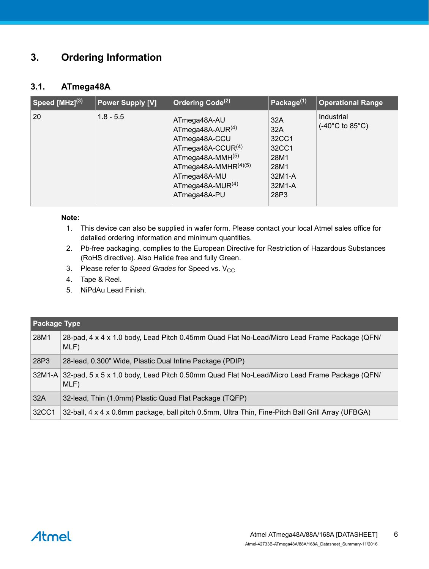## <span id="page-5-0"></span>**3. Ordering Information**

#### **3.1. ATmega48A**

| Speed $[MHz]^{(3)}$ | <b>Power Supply [V]</b> | Ordering Code <sup>(2)</sup>                                                                                                                                                                | Package <sup>(1)</sup>                                                   | <b>Operational Range</b>                           |
|---------------------|-------------------------|---------------------------------------------------------------------------------------------------------------------------------------------------------------------------------------------|--------------------------------------------------------------------------|----------------------------------------------------|
| 20                  | $1.8 - 5.5$             | ATmega48A-AU<br>ATmega48A-AUR <sup>(4)</sup><br>ATmega48A-CCU<br>ATmega48A-CCUR $(4)$<br>ATmega48A-MMH(5)<br>ATmega48A-MMHR $(4)(5)$<br>ATmega48A-MU<br>ATmega48A-MUR $(4)$<br>ATmega48A-PU | 32A<br>32A<br>32CC1<br>32CC1<br>28M1<br>28M1<br>32M1-A<br>32M1-A<br>28P3 | Industrial<br>$(-40^{\circ}$ C to 85 $^{\circ}$ C) |

#### **Note:**

- 1. This device can also be supplied in wafer form. Please contact your local Atmel sales office for detailed ordering information and minimum quantities.
- 2. Pb-free packaging, complies to the European Directive for Restriction of Hazardous Substances (RoHS directive). Also Halide free and fully Green.
- 3. Please refer to *Speed Grades* for Speed vs. V<sub>CC</sub>
- 4. Tape & Reel.
- 5. NiPdAu Lead Finish.

| <b>Package Type</b> |                                                                                                             |
|---------------------|-------------------------------------------------------------------------------------------------------------|
| 28M1                | 28-pad, 4 x 4 x 1.0 body, Lead Pitch 0.45mm Quad Flat No-Lead/Micro Lead Frame Package (QFN/<br>MLF)        |
| 28P3                | 28-lead, 0.300" Wide, Plastic Dual Inline Package (PDIP)                                                    |
|                     | 32M1-A 32-pad, 5 x 5 x 1.0 body, Lead Pitch 0.50mm Quad Flat No-Lead/Micro Lead Frame Package (QFN/<br>MLF) |
| 32A                 | 32-lead, Thin (1.0mm) Plastic Quad Flat Package (TQFP)                                                      |
| 32CC1               | 32-ball, 4 x 4 x 0.6mm package, ball pitch 0.5mm, Ultra Thin, Fine-Pitch Ball Grill Array (UFBGA)           |

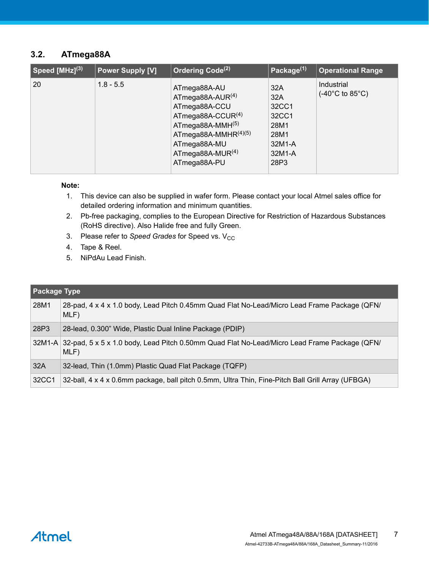#### <span id="page-6-0"></span>**3.2. ATmega88A**

| $\sqrt{3}$ Speed [MHz] $^{(3)}$ | <b>Power Supply [V]</b> | Ordering Code <sup>(2)</sup>                                                                                                                                                                           | Package <sup>(1)</sup>                                                   | <b>Operational Range</b>                           |
|---------------------------------|-------------------------|--------------------------------------------------------------------------------------------------------------------------------------------------------------------------------------------------------|--------------------------------------------------------------------------|----------------------------------------------------|
| 20                              | $1.8 - 5.5$             | ATmega88A-AU<br>ATmega88A-AUR <sup>(4)</sup><br>ATmega88A-CCU<br>ATmega88A-CCUR $(4)$<br>$ATmega88A-MMH(5)$<br>ATmega88A-MMHR $(4)(5)$<br>ATmega88A-MU<br>ATmega88A-MUR <sup>(4)</sup><br>ATmega88A-PU | 32A<br>32A<br>32CC1<br>32CC1<br>28M1<br>28M1<br>32M1-A<br>32M1-A<br>28P3 | Industrial<br>$(-40^{\circ}$ C to 85 $^{\circ}$ C) |

#### **Note:**

- 1. This device can also be supplied in wafer form. Please contact your local Atmel sales office for detailed ordering information and minimum quantities.
- 2. Pb-free packaging, complies to the European Directive for Restriction of Hazardous Substances (RoHS directive). Also Halide free and fully Green.
- 3. Please refer to *Speed Grades* for Speed vs. V<sub>CC</sub>
- 4. Tape & Reel.
- 5. NiPdAu Lead Finish.

| Package Type |                                                                                                             |
|--------------|-------------------------------------------------------------------------------------------------------------|
| 28M1         | 28-pad, 4 x 4 x 1.0 body, Lead Pitch 0.45mm Quad Flat No-Lead/Micro Lead Frame Package (QFN/<br>MLF)        |
| 28P3         | 28-lead, 0.300" Wide, Plastic Dual Inline Package (PDIP)                                                    |
|              | 32M1-A 32-pad, 5 x 5 x 1.0 body, Lead Pitch 0.50mm Quad Flat No-Lead/Micro Lead Frame Package (QFN/<br>MLF) |
| 32A          | 32-lead, Thin (1.0mm) Plastic Quad Flat Package (TQFP)                                                      |
| 32CC1        | 32-ball, 4 x 4 x 0.6mm package, ball pitch 0.5mm, Ultra Thin, Fine-Pitch Ball Grill Array (UFBGA)           |

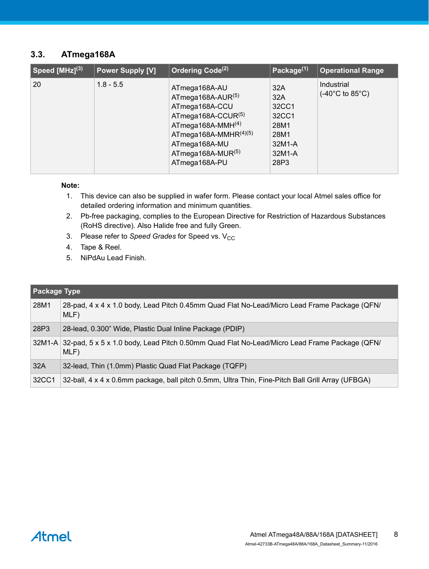#### <span id="page-7-0"></span>**3.3. ATmega168A**

| $\sqrt{3}$ Speed [MHz] $^{(3)}$ | <b>Power Supply [V]</b> | Ordering Code <sup>(2)</sup>                                                                                                                                                          | Package $(1)$                                                            | <b>Operational Range</b>                           |
|---------------------------------|-------------------------|---------------------------------------------------------------------------------------------------------------------------------------------------------------------------------------|--------------------------------------------------------------------------|----------------------------------------------------|
| 20                              | $1.8 - 5.5$             | ATmega168A-AU<br>ATmega168A-AUR(5)<br>ATmega168A-CCU<br>ATmega168A-CCUR(5)<br>ATmega168A-MMH $(4)$<br>ATmega168A-MMHR $(4)(5)$<br>ATmega168A-MU<br>ATmega168A-MUR(5)<br>ATmega168A-PU | 32A<br>32A<br>32CC1<br>32CC1<br>28M1<br>28M1<br>32M1-A<br>32M1-A<br>28P3 | Industrial<br>$(-40^{\circ}$ C to 85 $^{\circ}$ C) |

#### **Note:**

- 1. This device can also be supplied in wafer form. Please contact your local Atmel sales office for detailed ordering information and minimum quantities.
- 2. Pb-free packaging, complies to the European Directive for Restriction of Hazardous Substances (RoHS directive). Also Halide free and fully Green.
- 3. Please refer to *Speed Grades* for Speed vs. V<sub>CC</sub>
- 4. Tape & Reel.
- 5. NiPdAu Lead Finish.

|       | Package Type                                                                                                |  |  |  |  |  |  |  |  |  |
|-------|-------------------------------------------------------------------------------------------------------------|--|--|--|--|--|--|--|--|--|
| 28M1  | 28-pad, 4 x 4 x 1.0 body, Lead Pitch 0.45mm Quad Flat No-Lead/Micro Lead Frame Package (QFN/<br>MLF)        |  |  |  |  |  |  |  |  |  |
| 28P3  | 28-lead, 0.300" Wide, Plastic Dual Inline Package (PDIP)                                                    |  |  |  |  |  |  |  |  |  |
|       | 32M1-A 32-pad, 5 x 5 x 1.0 body, Lead Pitch 0.50mm Quad Flat No-Lead/Micro Lead Frame Package (QFN/<br>MLF) |  |  |  |  |  |  |  |  |  |
| 32A   | 32-lead, Thin (1.0mm) Plastic Quad Flat Package (TQFP)                                                      |  |  |  |  |  |  |  |  |  |
| 32CC1 | 32-ball, 4 x 4 x 0.6mm package, ball pitch 0.5mm, Ultra Thin, Fine-Pitch Ball Grill Array (UFBGA)           |  |  |  |  |  |  |  |  |  |

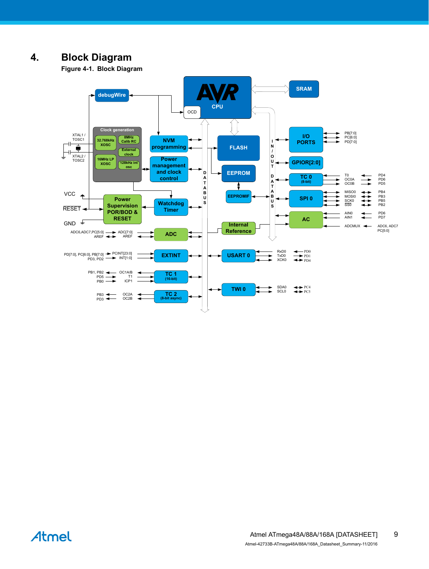## <span id="page-8-0"></span>**4. Block Diagram**

**Figure 4-1. Block Diagram**



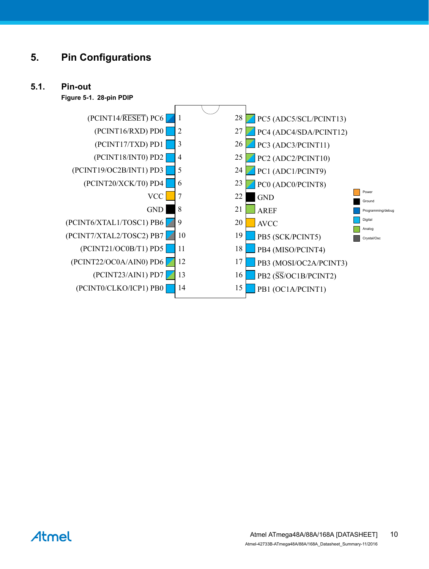## <span id="page-9-0"></span>**5. Pin Configurations**

#### **5.1. Pin-out**

**Figure 5-1. 28-pin PDIP**



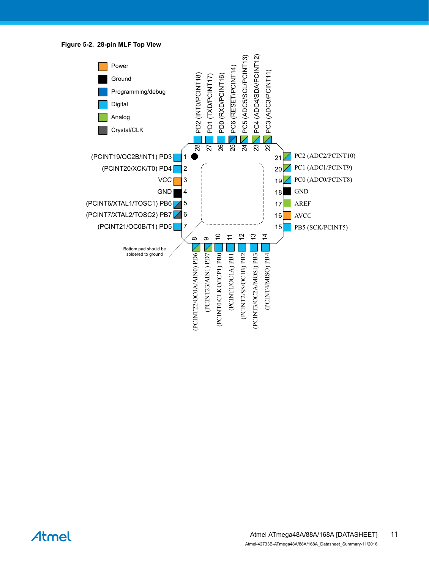**Figure 5-2. 28-pin MLF Top View**



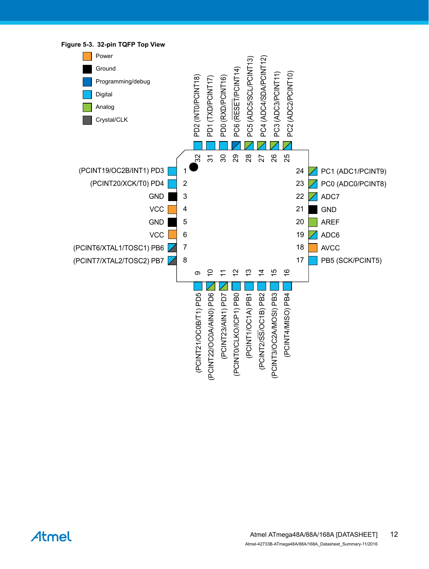

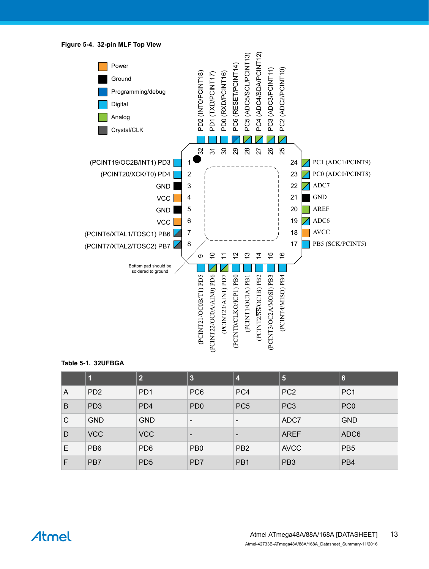**Figure 5-4. 32-pin MLF Top View**



#### **Table 5-1. 32UFBGA**

|   | 1               | 2                | $\overline{3}$           | 4                        | 5               | $6\phantom{1}6$  |
|---|-----------------|------------------|--------------------------|--------------------------|-----------------|------------------|
| A | PD <sub>2</sub> | P <sub>D</sub> 1 | PC <sub>6</sub>          | PC4                      | PC <sub>2</sub> | PC <sub>1</sub>  |
| B | PD <sub>3</sub> | PD <sub>4</sub>  | PD <sub>0</sub>          | PC <sub>5</sub>          | PC <sub>3</sub> | PC <sub>0</sub>  |
| C | <b>GND</b>      | <b>GND</b>       | $\overline{\phantom{a}}$ | $\overline{\phantom{a}}$ | ADC7            | <b>GND</b>       |
| D | <b>VCC</b>      | <b>VCC</b>       | $\overline{\phantom{a}}$ | $\overline{\phantom{a}}$ | <b>AREF</b>     | ADC <sub>6</sub> |
| Е | PB <sub>6</sub> | PD <sub>6</sub>  | PB <sub>0</sub>          | PB <sub>2</sub>          | <b>AVCC</b>     | PB <sub>5</sub>  |
| F | PB7             | PD <sub>5</sub>  | PD <sub>7</sub>          | PB1                      | PB <sub>3</sub> | PB4              |

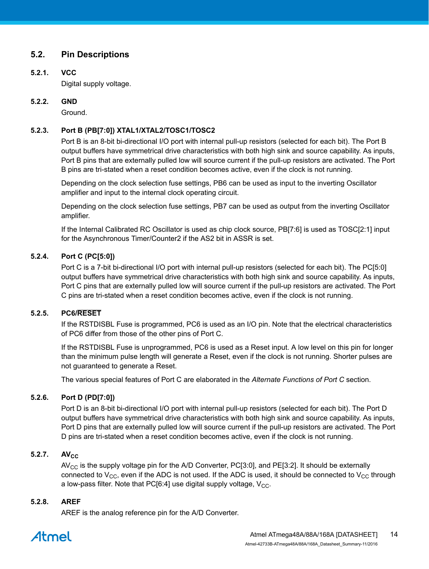#### <span id="page-13-0"></span>**5.2. Pin Descriptions**

#### **5.2.1. VCC**

Digital supply voltage.

#### **5.2.2. GND**

Ground.

#### **5.2.3. Port B (PB[7:0]) XTAL1/XTAL2/TOSC1/TOSC2**

Port B is an 8-bit bi-directional I/O port with internal pull-up resistors (selected for each bit). The Port B output buffers have symmetrical drive characteristics with both high sink and source capability. As inputs, Port B pins that are externally pulled low will source current if the pull-up resistors are activated. The Port B pins are tri-stated when a reset condition becomes active, even if the clock is not running.

Depending on the clock selection fuse settings, PB6 can be used as input to the inverting Oscillator amplifier and input to the internal clock operating circuit.

Depending on the clock selection fuse settings, PB7 can be used as output from the inverting Oscillator amplifier.

If the Internal Calibrated RC Oscillator is used as chip clock source, PB[7:6] is used as TOSC[2:1] input for the Asynchronous Timer/Counter2 if the AS2 bit in ASSR is set.

#### **5.2.4. Port C (PC[5:0])**

Port C is a 7-bit bi-directional I/O port with internal pull-up resistors (selected for each bit). The PC[5:0] output buffers have symmetrical drive characteristics with both high sink and source capability. As inputs, Port C pins that are externally pulled low will source current if the pull-up resistors are activated. The Port C pins are tri-stated when a reset condition becomes active, even if the clock is not running.

#### **5.2.5. PC6/RESET**

If the RSTDISBL Fuse is programmed, PC6 is used as an I/O pin. Note that the electrical characteristics of PC6 differ from those of the other pins of Port C.

If the RSTDISBL Fuse is unprogrammed, PC6 is used as a Reset input. A low level on this pin for longer than the minimum pulse length will generate a Reset, even if the clock is not running. Shorter pulses are not guaranteed to generate a Reset.

The various special features of Port C are elaborated in the *Alternate Functions of Port C* section.

#### **5.2.6. Port D (PD[7:0])**

Port D is an 8-bit bi-directional I/O port with internal pull-up resistors (selected for each bit). The Port D output buffers have symmetrical drive characteristics with both high sink and source capability. As inputs, Port D pins that are externally pulled low will source current if the pull-up resistors are activated. The Port D pins are tri-stated when a reset condition becomes active, even if the clock is not running.

#### **5.2.7. AV**<sub>CC</sub>

 $AV_{CC}$  is the supply voltage pin for the A/D Converter, PC[3:0], and PE[3:2]. It should be externally connected to  $V_{CC}$ , even if the ADC is not used. If the ADC is used, it should be connected to  $V_{CC}$  through a low-pass filter. Note that PC[6:4] use digital supply voltage,  $V_{CC}$ .

#### **5.2.8. AREF**

AREF is the analog reference pin for the A/D Converter.

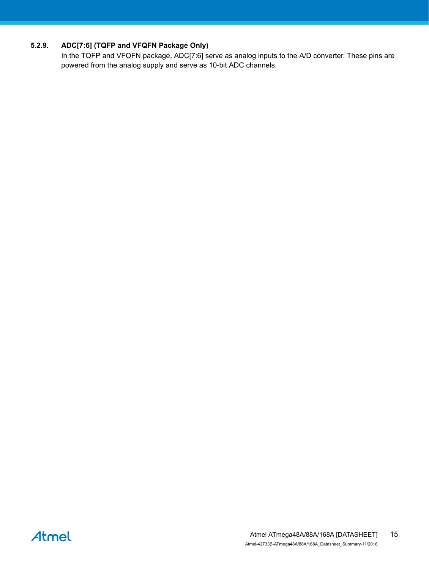#### **5.2.9. ADC[7:6] (TQFP and VFQFN Package Only)**

In the TQFP and VFQFN package, ADC[7:6] serve as analog inputs to the A/D converter. These pins are powered from the analog supply and serve as 10-bit ADC channels.

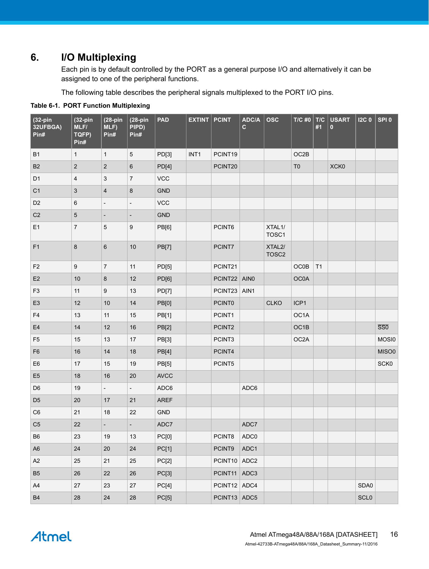## <span id="page-15-0"></span>**6. I/O Multiplexing**

Each pin is by default controlled by the PORT as a general purpose I/O and alternatively it can be assigned to one of the peripheral functions.

The following table describes the peripheral signals multiplexed to the PORT I/O pins.

| $(32-pin)$<br>32UFBGA)<br>Pin# | $(32-pin)$<br>MLF/<br>TQFP)<br>Pin# | $(28-pin)$<br>MLF)<br>Pin# | $(28-pin$<br>PIPD)<br>Pin# | <b>PAD</b>   | <b>EXTINT</b> | <b>PCINT</b>  | ADC/A<br>$\mathbf{C}$ | <b>OSC</b>                               | T/C #0         | T/C<br>#1 | <b>USART</b><br>$\bf{0}$ | 12C <sub>0</sub> | SPI <sub>0</sub>        |
|--------------------------------|-------------------------------------|----------------------------|----------------------------|--------------|---------------|---------------|-----------------------|------------------------------------------|----------------|-----------|--------------------------|------------------|-------------------------|
| <b>B1</b>                      | $\mathbf{1}$                        | $\mathbf{1}$               | 5                          | PD[3]        | INT1          | PCINT19       |                       |                                          | OC2B           |           |                          |                  |                         |
| B <sub>2</sub>                 | $\sqrt{2}$                          | $\boldsymbol{2}$           | $\,6\,$                    | PD[4]        |               | PCINT20       |                       |                                          | T <sub>0</sub> |           | XCK0                     |                  |                         |
| D <sub>1</sub>                 | 4                                   | 3                          | $\boldsymbol{7}$           | <b>VCC</b>   |               |               |                       |                                          |                |           |                          |                  |                         |
| C <sub>1</sub>                 | $\sqrt{3}$                          | $\overline{4}$             | $\boldsymbol{8}$           | <b>GND</b>   |               |               |                       |                                          |                |           |                          |                  |                         |
| D <sub>2</sub>                 | 6                                   | $\overline{\phantom{0}}$   | $\overline{\phantom{a}}$   | <b>VCC</b>   |               |               |                       |                                          |                |           |                          |                  |                         |
| C <sub>2</sub>                 | 5                                   | $\overline{a}$             | $\overline{\phantom{a}}$   | <b>GND</b>   |               |               |                       |                                          |                |           |                          |                  |                         |
| E1                             | $\overline{7}$                      | $\overline{5}$             | 9                          | PB[6]        |               | PCINT6        |                       | XTAL1/<br>TOSC1                          |                |           |                          |                  |                         |
| F1                             | 8                                   | $6\phantom{1}$             | 10                         | <b>PB[7]</b> |               | PCINT7        |                       | XTAL <sub>2</sub> /<br>TOSC <sub>2</sub> |                |           |                          |                  |                         |
| F <sub>2</sub>                 | $\boldsymbol{9}$                    | $\overline{7}$             | 11                         | PD[5]        |               | PCINT21       |                       |                                          | OCOB           | T1        |                          |                  |                         |
| E <sub>2</sub>                 | $10$                                | $\bf 8$                    | 12                         | PD[6]        |               | PCINT22 AIN0  |                       |                                          | <b>OC0A</b>    |           |                          |                  |                         |
| F <sub>3</sub>                 | 11                                  | 9                          | 13                         | PD[7]        |               | PCINT23       | AIN1                  |                                          |                |           |                          |                  |                         |
| E <sub>3</sub>                 | 12                                  | 10                         | 14                         | PB[0]        |               | <b>PCINT0</b> |                       | <b>CLKO</b>                              | ICP1           |           |                          |                  |                         |
| F <sub>4</sub>                 | 13                                  | 11                         | 15                         | PB[1]        |               | PCINT1        |                       |                                          | OC1A           |           |                          |                  |                         |
| E <sub>4</sub>                 | 14                                  | 12                         | 16                         | PB[2]        |               | PCINT2        |                       |                                          | OC1B           |           |                          |                  | $\overline{\text{SS0}}$ |
| F <sub>5</sub>                 | 15                                  | 13                         | 17                         | PB[3]        |               | PCINT3        |                       |                                          | OC2A           |           |                          |                  | MOSI0                   |
| F <sub>6</sub>                 | 16                                  | 14                         | 18                         | PB[4]        |               | PCINT4        |                       |                                          |                |           |                          |                  | MISO0                   |
| E <sub>6</sub>                 | 17                                  | 15                         | 19                         | PB[5]        |               | PCINT5        |                       |                                          |                |           |                          |                  | SCK0                    |
| E <sub>5</sub>                 | 18                                  | 16                         | 20                         | <b>AVCC</b>  |               |               |                       |                                          |                |           |                          |                  |                         |
| D <sub>6</sub>                 | 19                                  | $\overline{\phantom{0}}$   | $\overline{\phantom{a}}$   | ADC6         |               |               | ADC6                  |                                          |                |           |                          |                  |                         |
| D <sub>5</sub>                 | 20                                  | 17                         | 21                         | <b>AREF</b>  |               |               |                       |                                          |                |           |                          |                  |                         |
| C <sub>6</sub>                 | 21                                  | 18                         | 22                         | GND          |               |               |                       |                                          |                |           |                          |                  |                         |
| C <sub>5</sub>                 | 22                                  | $\overline{\phantom{0}}$   | $\overline{\phantom{a}}$   | ADC7         |               |               | ADC7                  |                                          |                |           |                          |                  |                         |
| ${\sf B6}$                     | 23                                  | 19                         | 13                         | PC[0]        |               | PCINT8 ADC0   |                       |                                          |                |           |                          |                  |                         |
| A <sub>6</sub>                 | 24                                  | 20                         | 24                         | PC[1]        |               | PCINT9        | ADC1                  |                                          |                |           |                          |                  |                         |
| A2                             | 25                                  | 21                         | 25                         | PC[2]        |               | PCINT10 ADC2  |                       |                                          |                |           |                          |                  |                         |
| B <sub>5</sub>                 | 26                                  | 22                         | 26                         | PC[3]        |               | PCINT11 ADC3  |                       |                                          |                |           |                          |                  |                         |
| A4                             | 27                                  | 23                         | 27                         | PC[4]        |               | PCINT12 ADC4  |                       |                                          |                |           |                          | SDA0             |                         |
| B <sub>4</sub>                 | 28                                  | 24                         | 28                         | PC[5]        |               | PCINT13 ADC5  |                       |                                          |                |           |                          | SCL0             |                         |

#### **Table 6-1. PORT Function Multiplexing**

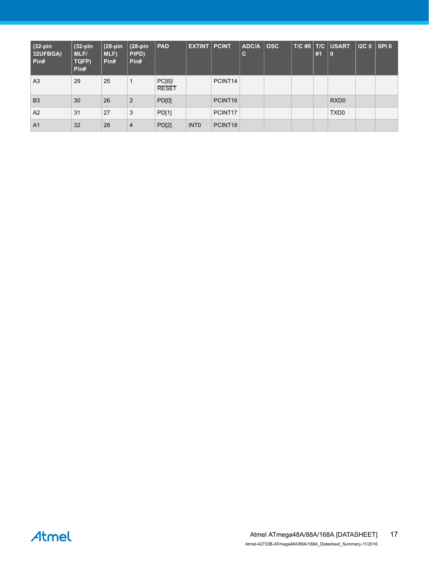| $(32-pin)$<br>32UFBGA)<br>l Pin# | $(32-pin)$<br>MLF/<br>TQFP)<br>Pin# | $(28-pin)$<br>MLF)<br>Pin# | $(28-pin)$<br>PIPD)<br>Pin# | <b>PAD</b>            | <b>EXTINT PCINT</b> |                     | <b>ADC/A</b><br>$\mathbf c$ | $ $ OSC | #1 | $T/C$ #0   $T/C$   USART<br><b>0</b> | $12C0$ SPI 0 |  |
|----------------------------------|-------------------------------------|----------------------------|-----------------------------|-----------------------|---------------------|---------------------|-----------------------------|---------|----|--------------------------------------|--------------|--|
| A <sub>3</sub>                   | 29                                  | 25                         | 1                           | PC[6]<br><b>RESET</b> |                     | PCINT14             |                             |         |    |                                      |              |  |
| B <sub>3</sub>                   | 30                                  | 26                         | $\overline{2}$              | PD[0]                 |                     | PCINT <sub>16</sub> |                             |         |    | RXD <sub>0</sub>                     |              |  |
| A2                               | 31                                  | 27                         | 3                           | PD[1]                 |                     | PCINT17             |                             |         |    | TXD <sub>0</sub>                     |              |  |
| A <sub>1</sub>                   | 32                                  | 28                         | $\overline{4}$              | PD[2]                 | <b>INTO</b>         | PCINT <sub>18</sub> |                             |         |    |                                      |              |  |

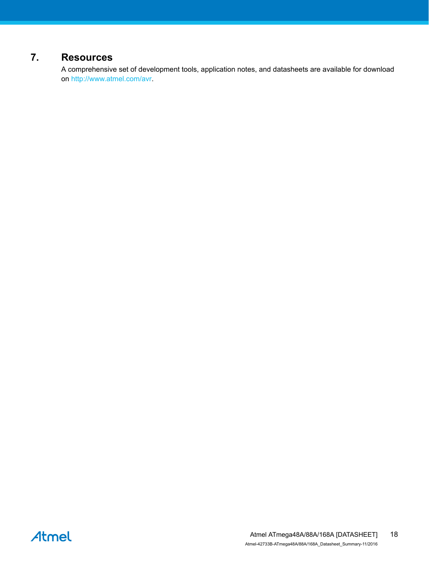## <span id="page-17-0"></span>**7. Resources**

A comprehensive set of development tools, application notes, and datasheets are available for download on [http://www.atmel.com/avr.](http://www.atmel.com/avr)

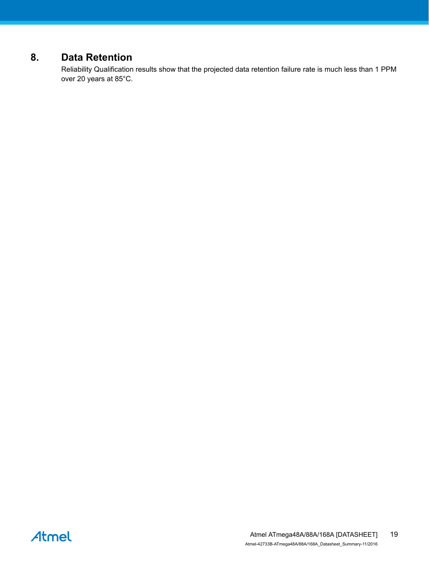## <span id="page-18-0"></span>**8. Data Retention**

Reliability Qualification results show that the projected data retention failure rate is much less than 1 PPM over 20 years at 85°C.

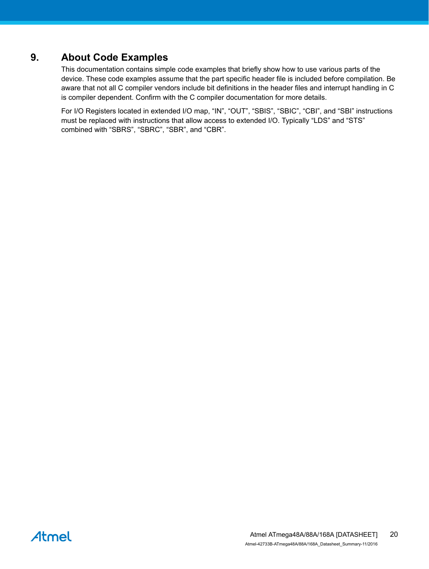## <span id="page-19-0"></span>**9. About Code Examples**

This documentation contains simple code examples that briefly show how to use various parts of the device. These code examples assume that the part specific header file is included before compilation. Be aware that not all C compiler vendors include bit definitions in the header files and interrupt handling in C is compiler dependent. Confirm with the C compiler documentation for more details.

For I/O Registers located in extended I/O map, "IN", "OUT", "SBIS", "SBIC", "CBI", and "SBI" instructions must be replaced with instructions that allow access to extended I/O. Typically "LDS" and "STS" combined with "SBRS", "SBRC", "SBR", and "CBR".

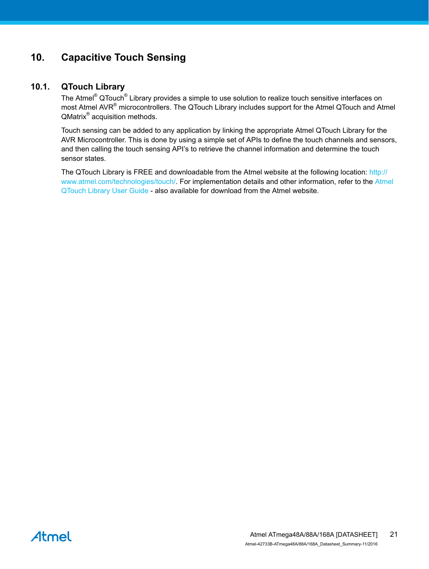## <span id="page-20-0"></span>**10. Capacitive Touch Sensing**

#### **10.1. QTouch Library**

The Atmel<sup>®</sup> QTouch<sup>®</sup> Library provides a simple to use solution to realize touch sensitive interfaces on most Atmel AVR<sup>®</sup> microcontrollers. The QTouch Library includes support for the Atmel QTouch and Atmel QMatrix<sup>®</sup> acquisition methods.

Touch sensing can be added to any application by linking the appropriate Atmel QTouch Library for the AVR Microcontroller. This is done by using a simple set of APIs to define the touch channels and sensors, and then calling the touch sensing API's to retrieve the channel information and determine the touch sensor states.

The QTouch Library is FREE and downloadable from the Atmel website at the following location: [http://](http://www.atmel.com/technologies/touch/) [www.atmel.com/technologies/touch/](http://www.atmel.com/technologies/touch/). For implementation details and other information, refer to the [Atmel](http://www.atmel.com/dyn/resources/prod_documents/doc8207.pdf) [QTouch Library User Guide](http://www.atmel.com/dyn/resources/prod_documents/doc8207.pdf) - also available for download from the Atmel website.

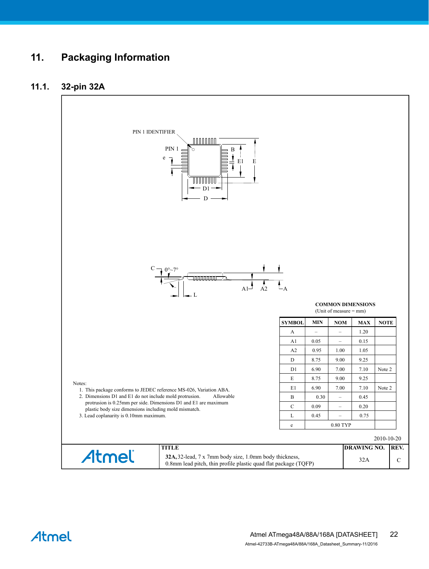## <span id="page-21-0"></span>**11. Packaging Information**

#### **11.1. 32-pin 32A**



Atmel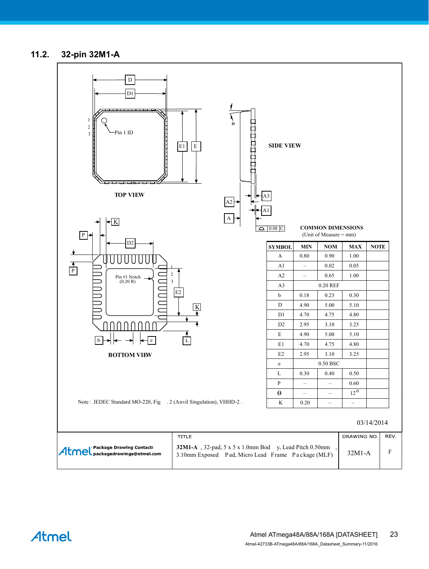#### <span id="page-22-0"></span>**11.2. 32-pin 32M1-A**



Atmel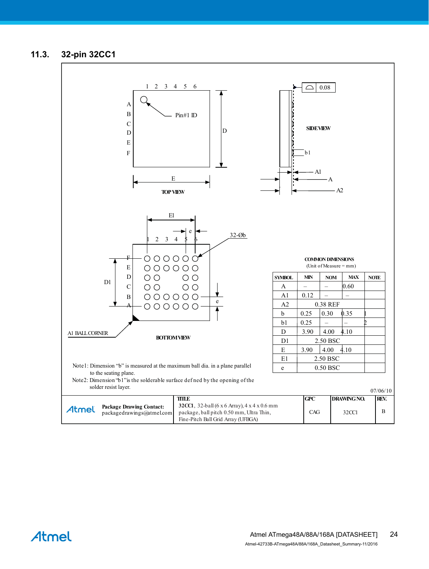#### <span id="page-23-0"></span>**11.3. 32-pin 32CC1**



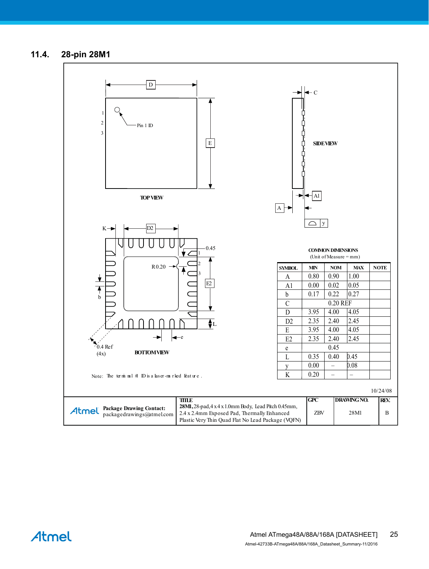#### <span id="page-24-0"></span>**11.4. 28-pin 28M1**



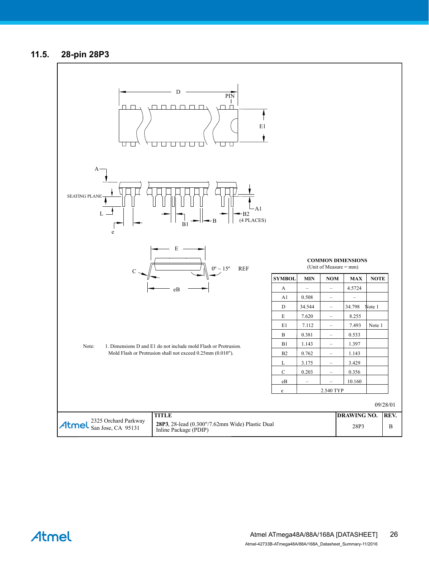#### <span id="page-25-0"></span>**11.5. 28-pin 28P3**